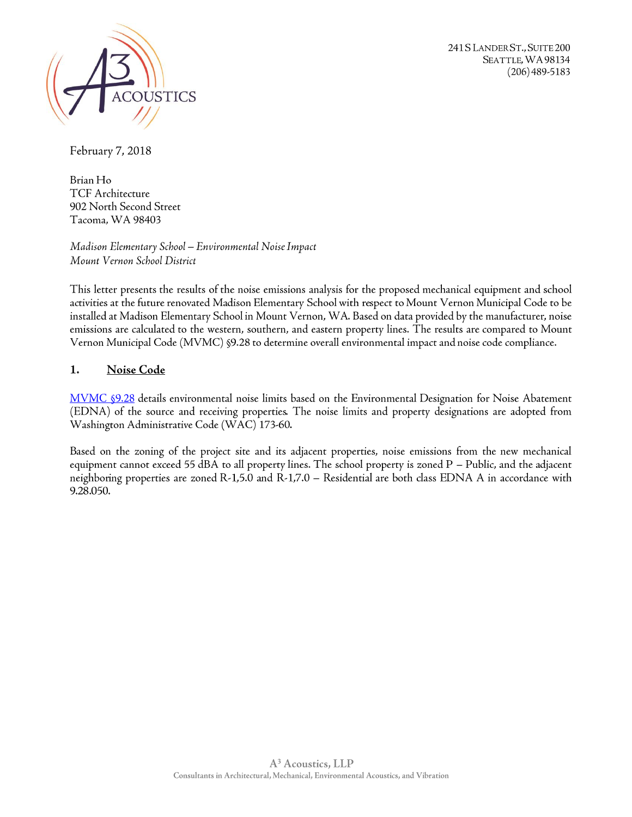

241 S LANDER ST., SUITE 200 SEATTLE, WA 98134  $(206)$  489-5183

February 7, 2018

Brian Ho TCF Architecture 902 North Second Street Tacoma, WA 98403

Madison Elementary School — Environmental Noise Impact Mount Vernon School District

This letter presents the results of the noise emissions analysis for the proposed mechanical equipment and school activities at the future renovated Madison Elementary School with respect to Mount Vernon Municipal Code to be installed at Madison Elementary School in Mount Vernon, WA. Based on data provided by the manufacturer, noise emissions are calculated to the western, southern, and eastern property lines. The results are compared to Mount Vernon Municipal Code (MVMC) §9.28 to determine overall environmental impact and noise code compliance.

# 1. Noise Code

[MVMC](http://www.codepublishing.com/WA/MountVernon/html/MountVernon09/MountVernon0928.html#9.28.050) §9.28 details environmental noise limits based on the Environmental Designation for Noise Abatement (EDNA) of the source and receiving properties. The noise limits and property designations are adopted from Washington Administrative Code (WAC) 173-60.

Based on the zoning of the project site and its adjacent properties, noise emissions from the new mechanical equipment cannot exceed 55 dBA to all property lines. The school property is zoned P — Public, and the adjacent neighboring properties are zoned R-1,5.0 and R-1,7.0 – Residential are both class EDNA A in accordance with 9.28.050.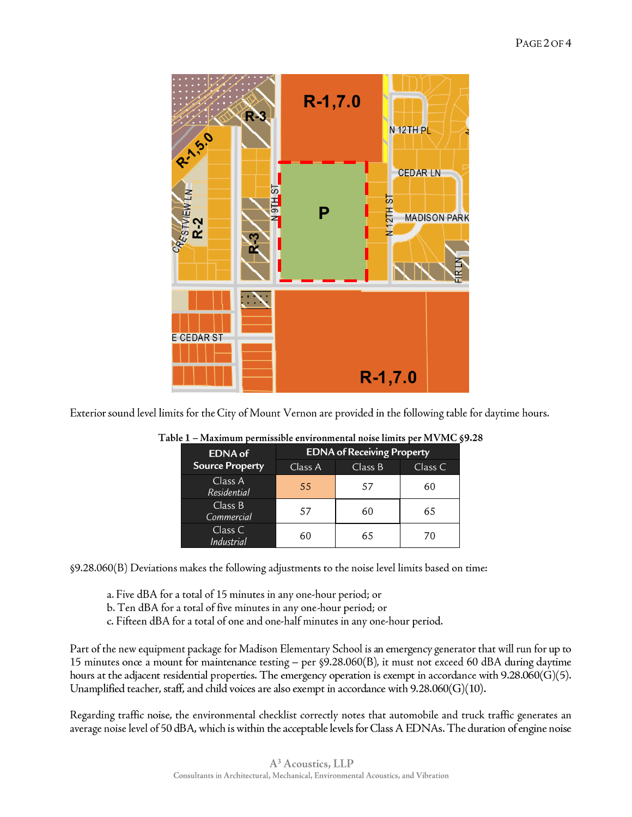

Exterior sound level limits for the City of Mount Vernon are provided in the following table for daytime hours.

| <b>EDNA</b> of               | <b>EDNA</b> of Receiving Property |         |         |
|------------------------------|-----------------------------------|---------|---------|
| <b>Source Property</b>       | Class A                           | Class B | Class C |
| Class A<br>Residential       | 55                                | 57      | 60      |
| Class B<br>Commercial        | 57                                | 60      | 65      |
| Class C<br><b>Industrial</b> | 60                                | 65      | 70      |

| Table 1 – Maximum permissible environmental noise limits per MVMC §9.28 |  |  |
|-------------------------------------------------------------------------|--|--|
|                                                                         |  |  |

§9.28.060(B) Deviations makes the following adjustments to the noise level limits based on time:

a. Five dBA for <sup>a</sup> total of 15 minutes in any one'hour period; or

- b. Ten dBA for a total of five minutes in any one-hour period; or
- c. Fifteen dBA for <sup>a</sup> total of one and one'half minutes in any one'hour period.

Part of the new equipment package for Madison Elementary School is an emergency generator that will run for up to 15 minutes once <sup>a</sup> mount for maintenance testing — per §9.28.060(B), it must not exceed 60 dBA during daytime hours at the adjacent residential properties. The emergency operation is exempt in accordance with 9.28.060(G)(5). Unamplified teacher, staff, and child voices are also exempt in accordance with  $9.28.060(G)(10)$ .

Regarding traffic noise, the environmental checklist correctly notes that automobile and truck traffic generates an average noise level of 50 dBA, which is within the acceptable levels for Class A EDNAs. The duration ofengine noise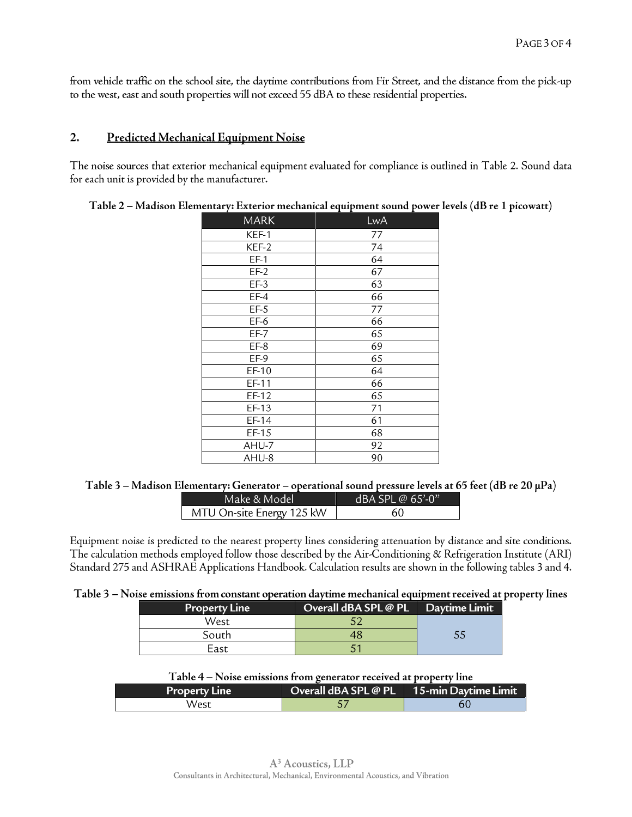from vehicle traffic on the school site, the daytime contributions from Fir Street, and the distance from the pick-up to the west, east and south properties will not exceed 55 dBA to these residential properties.

## 2. Predicted Mechanical Equipment Noise

The noise sources that exterior mechanical equipment evaluated for compliance is outlined in Table 2. Sound data for each unit is provided by the manufacturer.

| MARK    | LwA |
|---------|-----|
| KEF-1   | 77  |
| KEF-2   | 74  |
| $EF-1$  | 64  |
| $EF-2$  | 67  |
| $EF-3$  | 63  |
| $EF-4$  | 66  |
| $EF-5$  | 77  |
| $EF-6$  | 66  |
| $EF-7$  | 65  |
| $EF-8$  | 69  |
| EF-9    | 65  |
| EF-10   | 64  |
| EF-11   | 66  |
| $EF-12$ | 65  |
| EF-13   | 71  |
| EF-14   | 61  |
| EF-15   | 68  |
| AHU-7   | 92  |
| AHU-8   | 90  |

.<br>Table 2 – Madison Elementary: Exterior mechanical equipment sound power levels (dB re 1 picowatt)

#### Table 3 - Madison Elementary: Generator - operational sound pressure levels at 65 feet (dB re 20  $\mu$ Pa)

| Make & Model              | $dBA$ SPI @ 65'-0" |
|---------------------------|--------------------|
| MTU On-site Energy 125 kW | 60                 |

Equipment noise is predicted to the nearest property lines considering attenuation by distance and site conditions. The calculation methods employed follow those described by the Air-Conditioning & Refrigeration Institute (ARI) Standard 275 and ASHRAE Applications Handbook. Calculation results are shown in the following tables <sup>3</sup> and 4.

## Table 3 - Noise emissions from constant operation daytime mechanical equipment received at property lines

| Property Line | Overall dBA SPL @ PL | Daytime Limit |
|---------------|----------------------|---------------|
| West          |                      |               |
| South         |                      | 55            |
| East          |                      |               |

| Table 4 - Noise emissions from generator received at property line |  |  |
|--------------------------------------------------------------------|--|--|
|                                                                    |  |  |

| <b>Property Line</b> | Overall dBA SPL @ PL 15-min Daytime Limit |  |
|----------------------|-------------------------------------------|--|
| West                 |                                           |  |